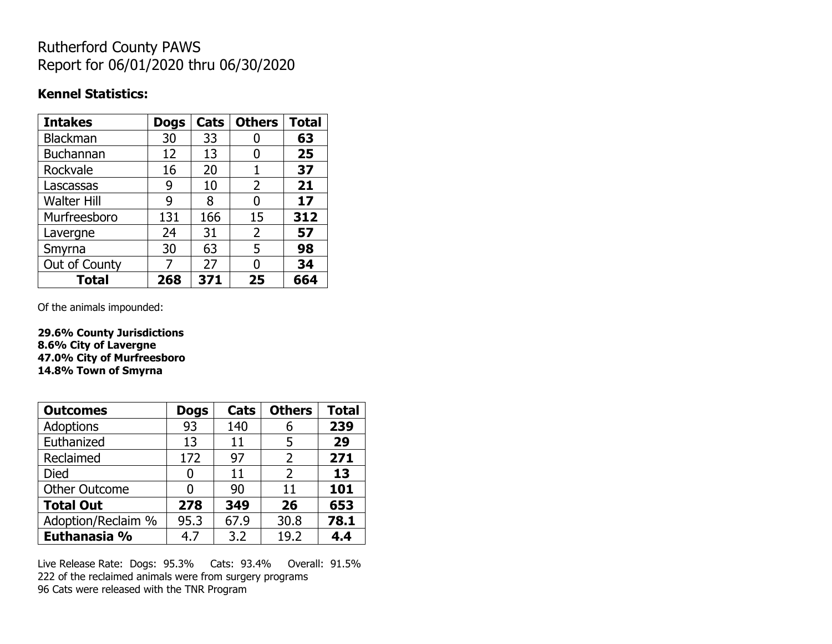## Rutherford County PAWS Report for 06/01/2020 thru 06/30/2020

### **Kennel Statistics:**

| <b>Intakes</b>     | <b>Dogs</b> | Cats | <b>Others</b>  | <b>Total</b> |
|--------------------|-------------|------|----------------|--------------|
| <b>Blackman</b>    | 30          | 33   |                | 63           |
| <b>Buchannan</b>   | 12          | 13   | 0              | 25           |
| Rockvale           | 16          | 20   | 1              | 37           |
| Lascassas          | 9           | 10   | $\overline{2}$ | 21           |
| <b>Walter Hill</b> | 9           | 8    | 0              | 17           |
| Murfreesboro       | 131         | 166  | 15             | 312          |
| Lavergne           | 24          | 31   | $\overline{2}$ | 57           |
| Smyrna             | 30          | 63   | 5              | 98           |
| Out of County      | 7           | 27   | O              | 34           |
| <b>Total</b>       | 268         | 371  | 25             | 664          |

Of the animals impounded:

**29.6% County Jurisdictions 8.6% City of Lavergne 47.0% City of Murfreesboro 14.8% Town of Smyrna**

| <b>Outcomes</b>      | <b>Dogs</b> | Cats | <b>Others</b>  | <b>Total</b> |
|----------------------|-------------|------|----------------|--------------|
| Adoptions            | 93          | 140  | 6              | 239          |
| Euthanized           | 13          | 11   | 5              | 29           |
| Reclaimed            | 172         | 97   | $\overline{2}$ | 271          |
| <b>Died</b>          | 0           | 11   | $\mathcal{P}$  | 13           |
| <b>Other Outcome</b> | O           | 90   | 11             | 101          |
| <b>Total Out</b>     | 278         | 349  | 26             | 653          |
| Adoption/Reclaim %   | 95.3        | 67.9 | 30.8           | 78.1         |
| Euthanasia %         | 4.7         | 3.2  | 19.2           | 4.4          |

Live Release Rate: Dogs: 95.3% Cats: 93.4% Overall: 91.5% 222 of the reclaimed animals were from surgery programs 96 Cats were released with the TNR Program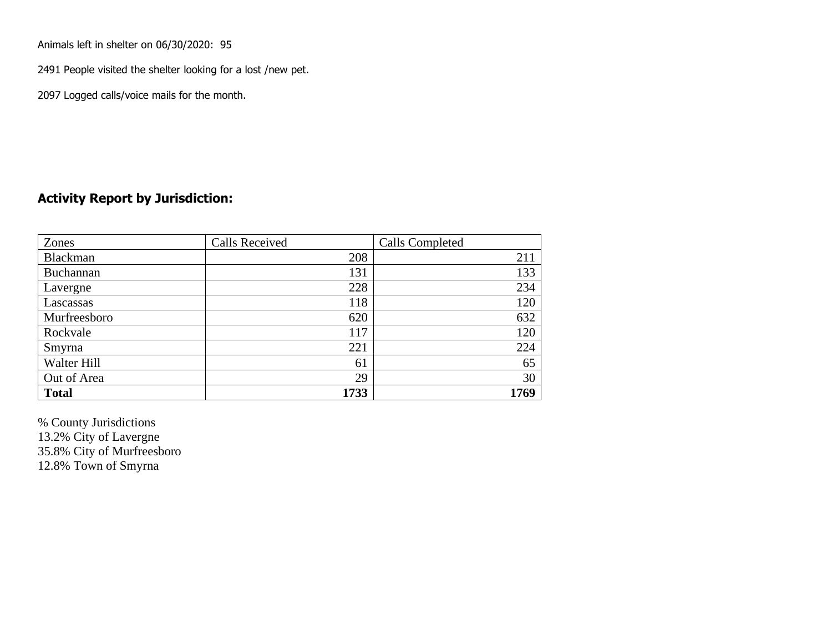Animals left in shelter on 06/30/2020: 95

2491 People visited the shelter looking for a lost /new pet.

2097 Logged calls/voice mails for the month.

### **Activity Report by Jurisdiction:**

| Zones        | <b>Calls Received</b> | Calls Completed |
|--------------|-----------------------|-----------------|
| Blackman     | 208                   | 211             |
| Buchannan    | 131                   | 133             |
| Lavergne     | 228                   | 234             |
| Lascassas    | 118                   | 120             |
| Murfreesboro | 620                   | 632             |
| Rockvale     | 117                   | 120             |
| Smyrna       | 221                   | 224             |
| Walter Hill  | 61                    | 65              |
| Out of Area  | 29                    | 30              |
| <b>Total</b> | 1733                  | 1769            |

% County Jurisdictions 13.2% City of Lavergne 35.8% City of Murfreesboro 12.8% Town of Smyrna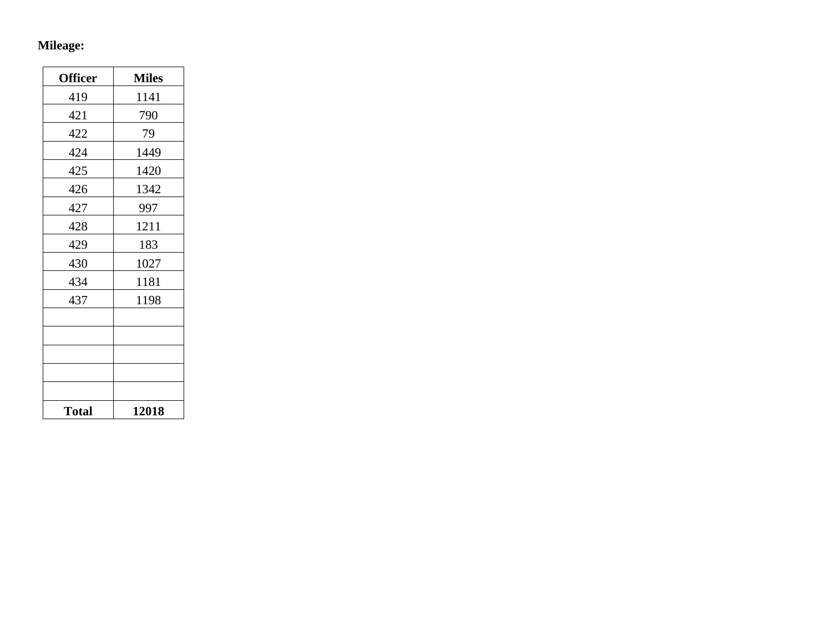## **Mileage:**

| <b>Officer</b> | <b>Miles</b> |
|----------------|--------------|
| 419            | 1141         |
| 421            | 790          |
| 422            | 79           |
| 424            | 1449         |
| 425            | 1420         |
| 426            | 1342         |
| 427            | 997          |
| 428            | 1211         |
| 429            | 183          |
| 430            | 1027         |
| 434            | 1181         |
| 437            | 1198         |
|                |              |
|                |              |
|                |              |
|                |              |
|                |              |
| <b>Total</b>   | 12018        |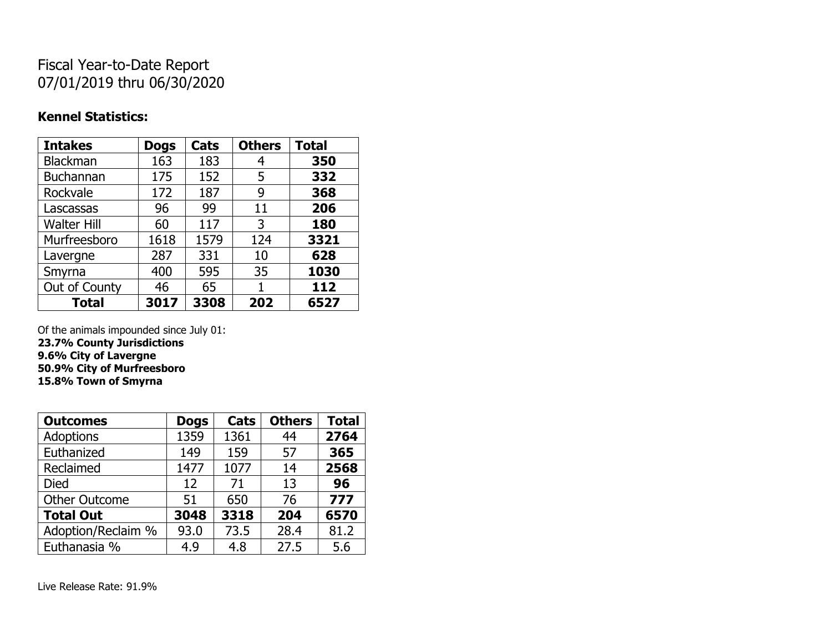# Fiscal Year-to-Date Report 07/01/2019 thru 06/30/2020

### **Kennel Statistics:**

| <b>Intakes</b>     | <b>Dogs</b> | Cats | <b>Others</b> | <b>Total</b> |
|--------------------|-------------|------|---------------|--------------|
| Blackman           | 163         | 183  | 4             | 350          |
| Buchannan          | 175         | 152  | 5             | 332          |
| Rockvale           | 172         | 187  | 9             | 368          |
| Lascassas          | 96          | 99   | 11            | 206          |
| <b>Walter Hill</b> | 60          | 117  | 3             | 180          |
| Murfreesboro       | 1618        | 1579 | 124           | 3321         |
| Lavergne           | 287         | 331  | 10            | 628          |
| Smyrna             | 400         | 595  | 35            | 1030         |
| Out of County      | 46          | 65   | 1             | 112          |
| <b>Total</b>       | 3017        | 3308 | 202           | 6527         |

Of the animals impounded since July 01:

**23.7% County Jurisdictions 9.6% City of Lavergne 50.9% City of Murfreesboro 15.8% Town of Smyrna**

| <b>Outcomes</b>      | <b>Dogs</b> | Cats | <b>Others</b> | <b>Total</b> |
|----------------------|-------------|------|---------------|--------------|
| <b>Adoptions</b>     | 1359        | 1361 | 44            | 2764         |
| Euthanized           | 149         | 159  | 57            | 365          |
| Reclaimed            | 1477        | 1077 | 14            | 2568         |
| <b>Died</b>          | 12          | 71   | 13            | 96           |
| <b>Other Outcome</b> | 51          | 650  | 76            | 777          |
| <b>Total Out</b>     | 3048        | 3318 | 204           | 6570         |
| Adoption/Reclaim %   | 93.0        | 73.5 | 28.4          | 81.2         |
| Euthanasia %         | 4.9         | 4.8  | 27.5          | 5.6          |

Live Release Rate: 91.9%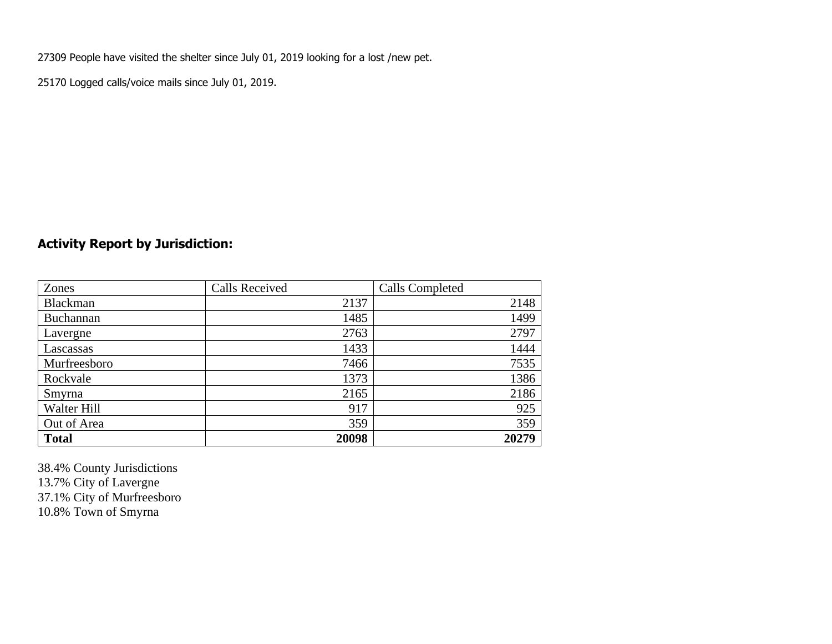27309 People have visited the shelter since July 01, 2019 looking for a lost /new pet.

25170 Logged calls/voice mails since July 01, 2019.

## **Activity Report by Jurisdiction:**

| Zones           | <b>Calls Received</b> | Calls Completed |
|-----------------|-----------------------|-----------------|
| <b>Blackman</b> | 2137                  | 2148            |
| Buchannan       | 1485                  | 1499            |
| Lavergne        | 2763                  | 2797            |
| Lascassas       | 1433                  | 1444            |
| Murfreesboro    | 7466                  | 7535            |
| Rockvale        | 1373                  | 1386            |
| Smyrna          | 2165                  | 2186            |
| Walter Hill     | 917                   | 925             |
| Out of Area     | 359                   | 359             |
| <b>Total</b>    | 20098                 | 20279           |

38.4% County Jurisdictions 13.7% City of Lavergne 37.1% City of Murfreesboro 10.8% Town of Smyrna